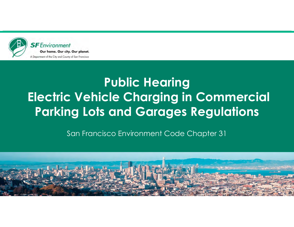

# **Public Hearing Electric Vehicle Charging in Commercial Parking Lots and Garages Regulations**

San Francisco Environment Code Chapter 31

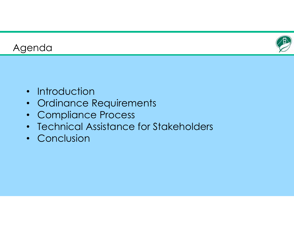



- Introduction
- Ordinance Requirements
- Compliance Process
- Technical Assistance for Stakeholders
- Conclusion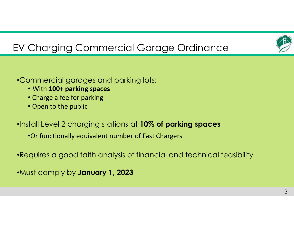

# EV Charging Commercial Garage Ordinance

- •Commercial garages and parking lots:
	- With **100+ parking spaces**
	- Charge a fee for parking
	- Open to the public
- •Install Level 2 charging stations at **10% of parking spaces**
	- •Or functionally equivalent number of Fast Chargers
- •Requires a good faith analysis of financial and technical feasibility
- •Must comply by **January 1, 2023**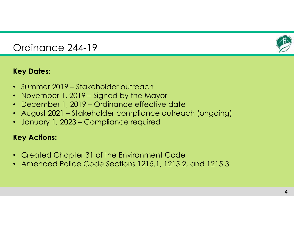

### Ordinance 244-19

#### **Key Dates:**

- Summer 2019 Stakeholder outreach
- November 1, 2019 Signed by the Mayor
- December 1, 2019 Ordinance effective date
- August 2021 Stakeholder compliance outreach (ongoing)
- January 1, 2023 Compliance required

#### **Key Actions:**

- Created Chapter 31 of the Environment Code
- Amended Police Code Sections 1215.1, 1215.2, and 1215.3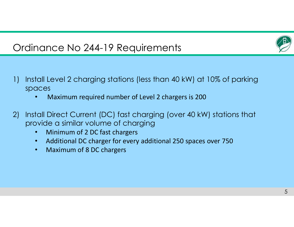

### Ordinance No 244-19 Requirements

- 1) Install Level 2 charging stations (less than 40 kW) at 10% of parking spaces
	- •Maximum required number of Level 2 chargers is 200
- 2) Install Direct Current (DC) fast charging (over 40 kW) stations that provide a similar volume of charging
	- •Minimum of 2 DC fast chargers
	- $\bullet$ Additional DC charger for every additional 250 spaces over 750
	- $\bullet$ Maximum of 8 DC chargers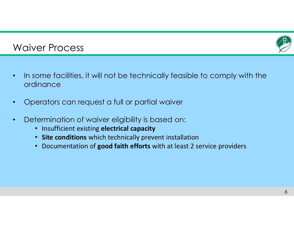

### Waiver Process

- $\bullet$  In some facilities, it will not be technically feasible to comply with the ordinance
- $\bullet$ Operators can request a full or partial waiver
- • Determination of waiver eligibility is based on:
	- Insufficient existing **electrical capacity**
	- **Site conditions** which technically prevent installation
	- Documentation of **good faith efforts** with at least 2 service providers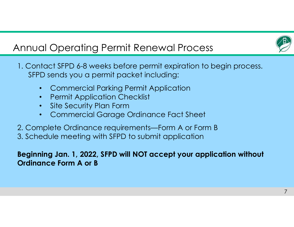

## Annual Operating Permit Renewal Process

1. Contact SFPD 6-8 weeks before permit expiration to begin process. SFPD sends you a permit packet including:

- •Commercial Parking Permit Application
- •Permit Application Checklist
- •Site Security Plan Form
- •Commercial Garage Ordinance Fact Sheet
- 2. Complete Ordinance requirements—Form A or Form B 3. Schedule meeting with SFPD to submit application

### **Beginning Jan. 1, 2022, SFPD will NOT accept your application without Ordinance Form A or B**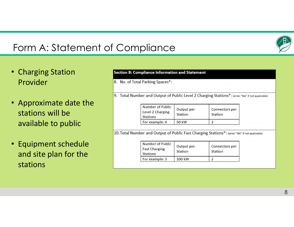### Form A: Statement of Compliance

- Charging Station Provider
- Approximate date the stations will beavailable to public
- Equipment schedule and site plan for the stations

#### **Section B: Compliance Information and Statement**

8. No. of Total Parking Spaces\*:

9. Total Number and Output of Public Level 2 Charging Stations\*: (enter "NA" if not applicable)

| Number of Public<br>Level 2 Charging<br><b>Stations</b> | Output per<br>Station | Connectors per<br>Station |  |
|---------------------------------------------------------|-----------------------|---------------------------|--|
| For example: 4                                          | 50 kW                 |                           |  |

10. Total Number and Output of Public Fast Charging Stations\*: (enter "NA" if not applicable)

| Number of Public<br><b>Fast Charging</b><br><b>Stations</b> | Output per<br>Station | Connectors per<br>Station |  |
|-------------------------------------------------------------|-----------------------|---------------------------|--|
| For example: 3                                              | 100 kW                |                           |  |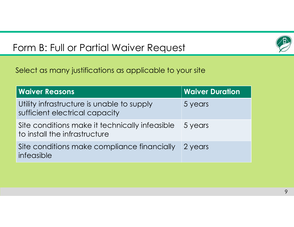### Form B: Full or Partial Waiver Request



Select as many justifications as applicable to your site

| <b>Waiver Reasons</b>                                                           | <b>Waiver Duration</b> |
|---------------------------------------------------------------------------------|------------------------|
| Utility infrastructure is unable to supply<br>sufficient electrical capacity    | 5 years                |
| Site conditions make it technically infeasible<br>to install the infrastructure | 5 years                |
| Site conditions make compliance financially<br>infeasible                       | 2 years                |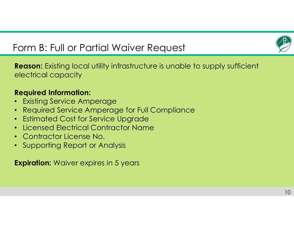

### Form B: Full or Partial Waiver Request

**Reason:** Existing local utility infrastructure is unable to supply sufficient electrical capacity

#### **Required Information:**

- •Existing Service Amperage
- •Required Service Amperage for Full Compliance
- $\bullet$ Estimated Cost for Service Upgrade
- •Licensed Electrical Contractor Name
- Contractor License No.
- •Supporting Report or Analysis

**Expiration:** Waiver expires in 5 years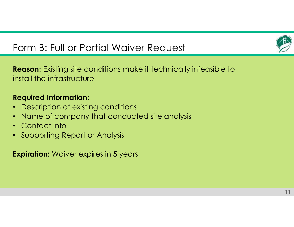

### Form B: Full or Partial Waiver Request

**Reason:** Existing site conditions make it technically infeasible to install the infrastructure

### **Required Information:**

- $\bullet$ Description of existing conditions
- •Name of company that conducted site analysis
- Contact Info
- Supporting Report or Analysis

**Expiration:** Waiver expires in 5 years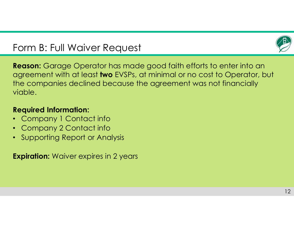### Form B: Full Waiver Request



**Reason:** Garage Operator has made good faith efforts to enter into an agreement with at least **two** EVSPs, at minimal or no cost to Operator, but the companies declined because the agreement was not financially viable.

#### **Required Information:**

- $\bullet$ Company 1 Contact info
- $\bullet$  . Company 2 Contact info
- Supporting Report or Analysis

**Expiration:** Waiver expires in 2 years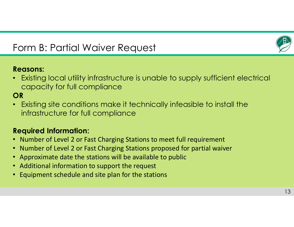

### Form B: Partial Waiver Request

#### **Reasons:**

• Existing local utility infrastructure is unable to supply sufficient electrical capacity for full compliance

### **OR**

• Existing site conditions make it technically infeasible to install the infrastructure for full compliance

#### **Required Information:**

- Number of Level 2 or Fast Charging Stations to meet full requirement
- Number of Level 2 or Fast Charging Stations proposed for partial waiver
- Approximate date the stations will be available to public
- Additional information to support the request
- Equipment schedule and site plan for the stations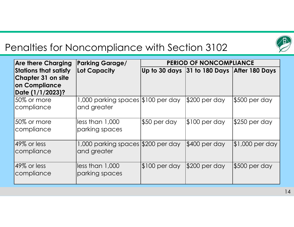

### Penalties for Noncompliance with Section 3102

| <b>Are there Charging</b>                                                                      | <b>Parking Garage/</b>                            | <b>PERIOD OF NONCOMPLIANCE</b> |                                             |                  |
|------------------------------------------------------------------------------------------------|---------------------------------------------------|--------------------------------|---------------------------------------------|------------------|
| <b>Stations that satisfy</b><br><b>Chapter 31 on site</b><br>on Compliance<br>Date (1/1/2023)? | Lot Capacity                                      |                                | Up to 30 days 31 to 180 Days After 180 Days |                  |
| 50% or more<br>compliance                                                                      | 1,000 parking spaces \$100 per day<br>and greater |                                | \$200 per day                               | $$500$ per day   |
| 50% or more<br>compliance                                                                      | lless than 1,000<br>parking spaces                | \$50 per day                   | $$100$ per day                              | \$250 per day    |
| 49% or less<br>compliance                                                                      | 1,000 parking spaces \$200 per day<br>and greater |                                | \$400 per day                               | $$1,000$ per day |
| $49\%$ or less<br>compliance                                                                   | $\parallel$ less than 1,000<br>parking spaces     | $ $100$ per day                | $$200$ per day                              | $$500$ per day   |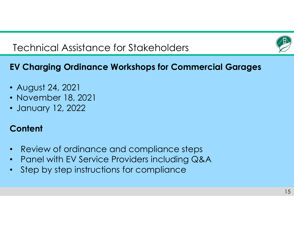

### Technical Assistance for Stakeholders

### **EV Charging Ordinance Workshops for Commercial Garages**

- August 24, 2021
- November 18, 2021
- January 12, 2022

### **Content**

- $\bullet$ Review of ordinance and compliance steps
- $\bullet$ Panel with EV Service Providers including Q&A
- $\bullet$ Step by step instructions for compliance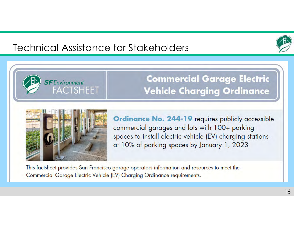### Technical Assistance for Stakeholders





**SF** Environment

**FACTSHEET** 

**Commercial Garage Electric Vehicle Charging Ordinance** 

**Ordinance No. 244-19 requires publicly accessible** commercial garages and lots with 100+ parking spaces to install electric vehicle (EV) charging stations at 10% of parking spaces by January 1, 2023

This factsheet provides San Francisco garage operators information and resources to meet the Commercial Garage Electric Vehicle (EV) Charging Ordinance requirements.

16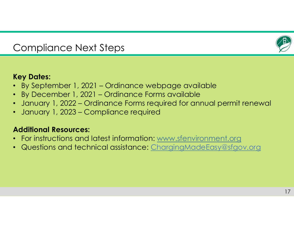

### Compliance Next Steps

#### **Key Dates:**

- By September 1, 2021 Ordinance webpage available
- $\bullet$ By December 1, 2021 – Ordinance Forms available
- $\bullet$ January 1, 2022 – Ordinance Forms required for annual permit renewal
- $\bullet$ January 1, 2023 – Compliance required

#### **Additional Resources:**

- For instructions and latest information: www.sfenvironment.org
- Questions and technical assistance: ChargingMadeEasy@sfgov.org